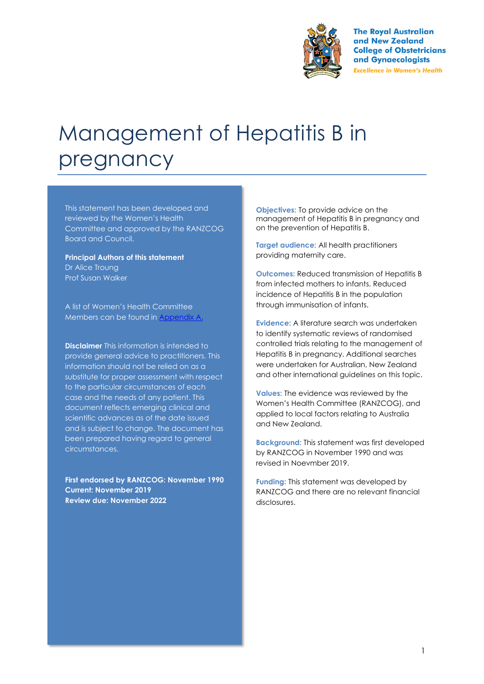

**The Royal Australian** and New Zealand **College of Obstetricians** and Gynaecologists **Excellence in Women's Health** 

# Management of Hepatitis B in pregnancy

This statement has been developed and reviewed by the Women's Health Committee and approved by the RANZCOG Board and Council.

**Principal Authors of this statement** Dr Alice Troung Prof Susan Walker

A list of Women's Health Committee Members can be found in Appendix A.

**Disclaimer** This information is intended to provide general advice to practitioners. This information should not be relied on as a substitute for proper assessment with respect to the particular circumstances of each case and the needs of any patient. This document reflects emerging clinical and scientific advances as of the date issued and is subject to change. The document has been prepared having regard to general circumstances.

**First endorsed by RANZCOG: November 1990 Current: November 2019 Review due: November 2022**

**Objectives:** To provide advice on the management of Hepatitis B in pregnancy and on the prevention of Hepatitis B.

**Target audience:** All health practitioners providing maternity care.

**Outcomes:** Reduced transmission of Hepatitis B from infected mothers to infants. Reduced incidence of Hepatitis B in the population through immunisation of infants.

**Evidence:** A literature search was undertaken to identify systematic reviews of randomised controlled trials relating to the management of Hepatitis B in pregnancy. Additional searches were undertaken for Australian, New Zealand and other international guidelines on this topic.

**Values:** The evidence was reviewed by the Women's Health Committee (RANZCOG), and applied to local factors relating to Australia and New Zealand.

**Background:** This statement was first developed by RANZCOG in November 1990 and was revised in Noevmber 2019.

**Funding:** This statement was developed by RANZCOG and there are no relevant financial disclosures.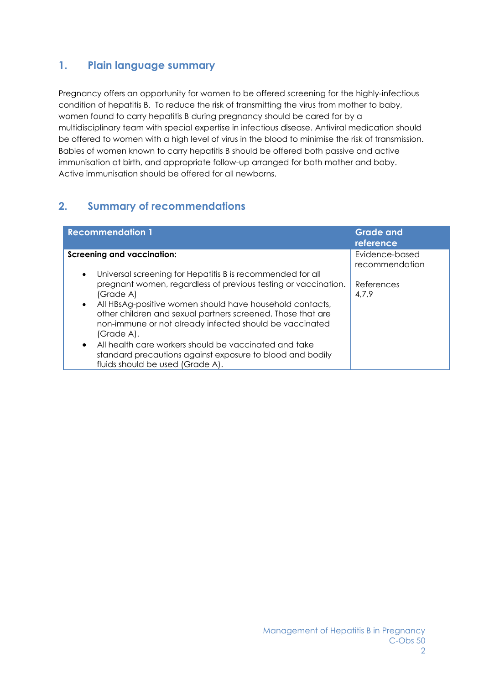# **1. Plain language summary**

Pregnancy offers an opportunity for women to be offered screening for the highly-infectious condition of hepatitis B. To reduce the risk of transmitting the virus from mother to baby, women found to carry hepatitis B during pregnancy should be cared for by a multidisciplinary team with special expertise in infectious disease. Antiviral medication should be offered to women with a high level of virus in the blood to minimise the risk of transmission. Babies of women known to carry hepatitis B should be offered both passive and active immunisation at birth, and appropriate follow-up arranged for both mother and baby. Active immunisation should be offered for all newborns.

# **2. Summary of recommendations**

| <b>Recommendation 1</b>                                                                                                                                                                                                                                                           | <b>Grade and</b><br>reference    |
|-----------------------------------------------------------------------------------------------------------------------------------------------------------------------------------------------------------------------------------------------------------------------------------|----------------------------------|
| <b>Screening and vaccination:</b><br>Universal screening for Hepatitis B is recommended for all<br>$\bullet$                                                                                                                                                                      | Evidence-based<br>recommendation |
| pregnant women, regardless of previous testing or vaccination.<br>(Grade A)<br>• All HBsAg-positive women should have household contacts,<br>other children and sexual partners screened. Those that are<br>non-immune or not already infected should be vaccinated<br>(Grade A). | References<br>4,7,9              |
| • All health care workers should be vaccinated and take<br>standard precautions against exposure to blood and bodily<br>fluids should be used (Grade A).                                                                                                                          |                                  |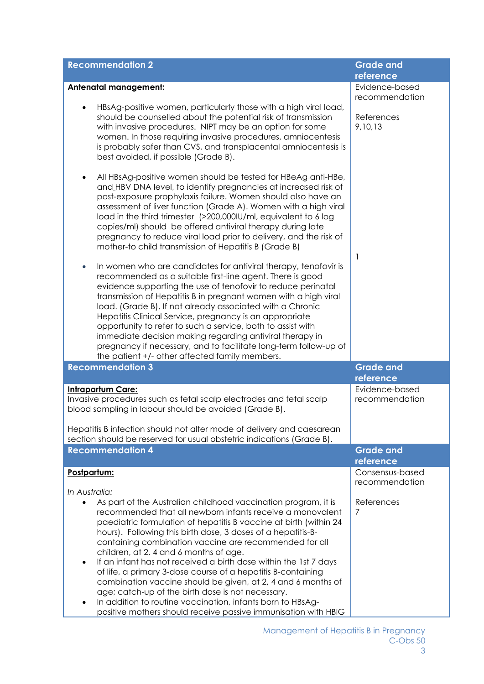| <b>Recommendation 2</b>                                                                                                                                                                                                                                                                                                                                                                                                                                                                                                                                                                                                                                                                                                                                       | <b>Grade and</b><br>reference     |
|---------------------------------------------------------------------------------------------------------------------------------------------------------------------------------------------------------------------------------------------------------------------------------------------------------------------------------------------------------------------------------------------------------------------------------------------------------------------------------------------------------------------------------------------------------------------------------------------------------------------------------------------------------------------------------------------------------------------------------------------------------------|-----------------------------------|
| <b>Antenatal management:</b>                                                                                                                                                                                                                                                                                                                                                                                                                                                                                                                                                                                                                                                                                                                                  | Evidence-based                    |
|                                                                                                                                                                                                                                                                                                                                                                                                                                                                                                                                                                                                                                                                                                                                                               | recommendation                    |
| HBsAg-positive women, particularly those with a high viral load,<br>should be counselled about the potential risk of transmission<br>with invasive procedures. NIPT may be an option for some<br>women. In those requiring invasive procedures, amniocentesis<br>is probably safer than CVS, and transplacental amniocentesis is<br>best avoided, if possible (Grade B).                                                                                                                                                                                                                                                                                                                                                                                      | References<br>9,10,13             |
| All HBsAg-positive women should be tested for HBeAg-anti-HBe,<br>and HBV DNA level, to identify pregnancies at increased risk of<br>post-exposure prophylaxis failure. Women should also have an<br>assessment of liver function (Grade A). Women with a high viral<br>load in the third trimester (>200,000IU/ml, equivalent to 6 log<br>copies/ml) should be offered antiviral therapy during late<br>pregnancy to reduce viral load prior to delivery, and the risk of<br>mother-to child transmission of Hepatitis B (Grade B)                                                                                                                                                                                                                            | $\overline{1}$                    |
| In women who are candidates for antiviral therapy, tenofovir is<br>$\bullet$<br>recommended as a suitable first-line agent. There is good<br>evidence supporting the use of tenofovir to reduce perinatal<br>transmission of Hepatitis B in pregnant women with a high viral<br>load. (Grade B). If not already associated with a Chronic<br>Hepatitis Clinical Service, pregnancy is an appropriate<br>opportunity to refer to such a service, both to assist with<br>immediate decision making regarding antiviral therapy in<br>pregnancy if necessary, and to facilitate long-term follow-up of<br>the patient +/- other affected family members.                                                                                                         |                                   |
| <b>Recommendation 3</b>                                                                                                                                                                                                                                                                                                                                                                                                                                                                                                                                                                                                                                                                                                                                       | <b>Grade and</b>                  |
|                                                                                                                                                                                                                                                                                                                                                                                                                                                                                                                                                                                                                                                                                                                                                               | reference                         |
| <b>Intrapartum Care:</b><br>Invasive procedures such as fetal scalp electrodes and fetal scalp<br>blood sampling in labour should be avoided (Grade B).                                                                                                                                                                                                                                                                                                                                                                                                                                                                                                                                                                                                       | Evidence-based<br>recommendation  |
| Hepatitis B infection should not alter mode of delivery and caesarean<br>section should be reserved for usual obstetric indications (Grade B).                                                                                                                                                                                                                                                                                                                                                                                                                                                                                                                                                                                                                |                                   |
| <b>Recommendation 4</b>                                                                                                                                                                                                                                                                                                                                                                                                                                                                                                                                                                                                                                                                                                                                       | <b>Grade and</b>                  |
|                                                                                                                                                                                                                                                                                                                                                                                                                                                                                                                                                                                                                                                                                                                                                               | reference                         |
| Postpartum:<br>In Australia:                                                                                                                                                                                                                                                                                                                                                                                                                                                                                                                                                                                                                                                                                                                                  | Consensus-based<br>recommendation |
| As part of the Australian childhood vaccination program, it is<br>recommended that all newborn infants receive a monovalent<br>paediatric formulation of hepatitis B vaccine at birth (within 24<br>hours). Following this birth dose, 3 doses of a hepatitis-B-<br>containing combination vaccine are recommended for all<br>children, at 2, 4 and 6 months of age.<br>If an infant has not received a birth dose within the 1st 7 days<br>of life, a primary 3-dose course of a hepatitis B-containing<br>combination vaccine should be given, at 2, 4 and 6 months of<br>age; catch-up of the birth dose is not necessary.<br>In addition to routine vaccination, infants born to HBsAg-<br>positive mothers should receive passive immunisation with HBIG | References<br>7                   |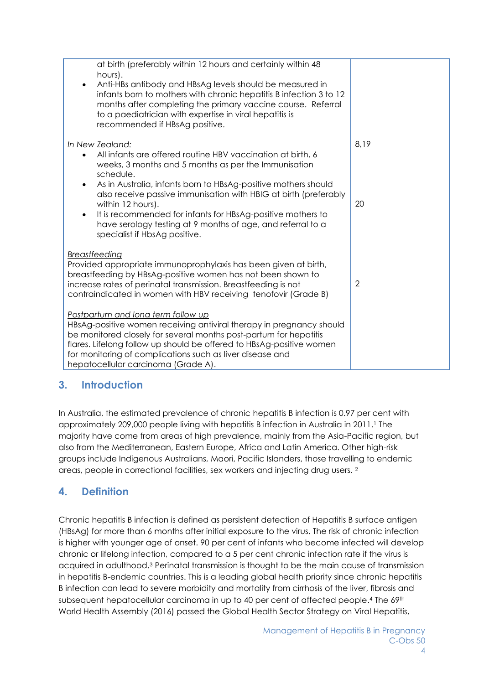| at birth (preferably within 12 hours and certainly within 48<br>hours).<br>Anti-HBs antibody and HBsAg levels should be measured in<br>infants born to mothers with chronic hepatitis B infection 3 to 12<br>months after completing the primary vaccine course. Referral<br>to a paediatrician with expertise in viral hepatitis is<br>recommended if HBsAg positive. |                |
|------------------------------------------------------------------------------------------------------------------------------------------------------------------------------------------------------------------------------------------------------------------------------------------------------------------------------------------------------------------------|----------------|
| In New Zealand:<br>All infants are offered routine HBV vaccination at birth, 6<br>$\bullet$<br>weeks, 3 months and 5 months as per the Immunisation<br>schedule.                                                                                                                                                                                                       | 8,19           |
| As in Australia, infants born to HBsAg-positive mothers should<br>$\bullet$<br>also receive passive immunisation with HBIG at birth (preferably<br>within 12 hours).<br>It is recommended for infants for HBsAg-positive mothers to<br>$\bullet$<br>have serology testing at 9 months of age, and referral to a<br>specialist if HbsAg positive.                       | 20             |
| Breastfeeding<br>Provided appropriate immunoprophylaxis has been given at birth,<br>breastfeeding by HBsAg-positive women has not been shown to<br>increase rates of perinatal transmission. Breastfeeding is not<br>contraindicated in women with HBV receiving tenofovir (Grade B)                                                                                   | $\overline{2}$ |
| Postpartum and long term follow up<br>HBsAg-positive women receiving antiviral therapy in pregnancy should<br>be monitored closely for several months post-partum for hepatitis<br>flares. Lifelong follow up should be offered to HBsAg-positive women<br>for monitoring of complications such as liver disease and<br>hepatocellular carcinoma (Grade A).            |                |

# **3. Introduction**

In Australia, the estimated prevalence of chronic hepatitis B infection is 0.97 per cent with approximately 209,000 people living with hepatitis B infection in Australia in 2011. <sup>1</sup> The majority have come from areas of high prevalence, mainly from the Asia-Pacific region, but also from the Mediterranean, Eastern Europe, Africa and Latin America. Other high-risk groups include Indigenous Australians, Maori, Pacific Islanders, those travelling to endemic areas, people in correctional facilities, sex workers and injecting drug users. <sup>2</sup>

# **4. Definition**

Chronic hepatitis B infection is defined as persistent detection of Hepatitis B surface antigen (HBsAg) for more than 6 months after initial exposure to the virus. The risk of chronic infection is higher with younger age of onset. 90 per cent of infants who become infected will develop chronic or lifelong infection, compared to a 5 per cent chronic infection rate if the virus is acquired in adulthood. <sup>3</sup> Perinatal transmission is thought to be the main cause of transmission in hepatitis B-endemic countries. This is a leading global health priority since chronic hepatitis B infection can lead to severe morbidity and mortality from cirrhosis of the liver, fibrosis and subsequent hepatocellular carcinoma in up to 40 per cent of affected people.<sup>4</sup> The 69<sup>th</sup> World Health Assembly (2016) passed the Global Health Sector Strategy on Viral Hepatitis,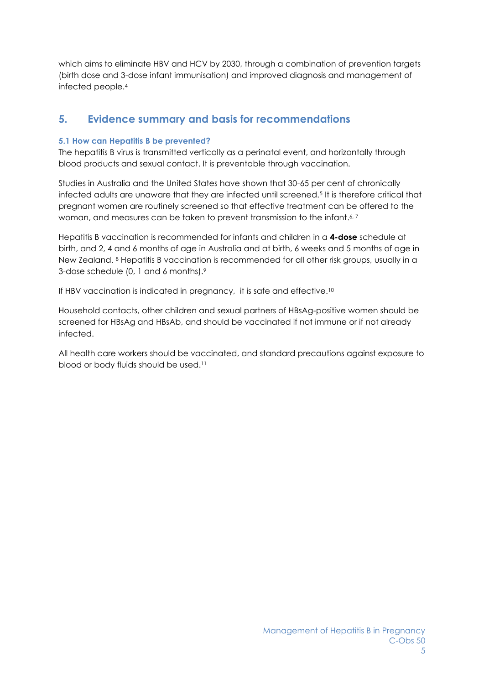which aims to eliminate HBV and HCV by 2030, through a combination of prevention targets (birth dose and 3-dose infant immunisation) and improved diagnosis and management of infected people.<sup>4</sup>

# **5. Evidence summary and basis for recommendations**

# **5.1 How can Hepatitis B be prevented?**

The hepatitis B virus is transmitted vertically as a perinatal event, and horizontally through blood products and sexual contact. It is preventable through vaccination.

Studies in Australia and the United States have shown that 30-65 per cent of chronically infected adults are unaware that they are infected until screened.<sup>5</sup> It is therefore critical that pregnant women are routinely screened so that effective treatment can be offered to the woman, and measures can be taken to prevent transmission to the infant.<sup>6,7</sup>

Hepatitis B vaccination is recommended for infants and children in a **4-dose** schedule at birth, and 2, 4 and 6 months of age in Australia and at birth, 6 weeks and 5 months of age in New Zealand. <sup>8</sup> Hepatitis B vaccination is recommended for all other risk groups, usually in a 3-dose schedule (0, 1 and 6 months). 9

If HBV vaccination is indicated in pregnancy, it is safe and effective.<sup>10</sup>

Household contacts, other children and sexual partners of HBsAg-positive women should be screened for HBsAg and HBsAb, and should be vaccinated if not immune or if not already infected.

All health care workers should be vaccinated, and standard precautions against exposure to blood or body fluids should be used. 11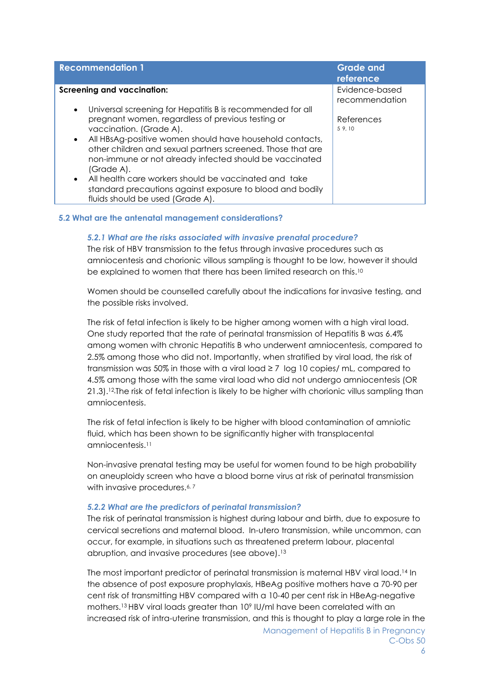| <b>Recommendation 1</b>                                                                                                                                             | <b>Grade and</b><br>reference    |
|---------------------------------------------------------------------------------------------------------------------------------------------------------------------|----------------------------------|
| <b>Screening and vaccination:</b>                                                                                                                                   | Evidence-based<br>recommendation |
| Universal screening for Hepatitis B is recommended for all<br>$\bullet$<br>pregnant women, regardless of previous testing or                                        | References                       |
| vaccination. (Grade A).<br>All HBsAg-positive women should have household contacts,<br>$\bullet$<br>other children and sexual partners screened. Those that are     | 5 9, 10                          |
| non-immune or not already infected should be vaccinated<br>(Grade A).                                                                                               |                                  |
| All health care workers should be vaccinated and take<br>$\bullet$<br>standard precautions against exposure to blood and bodily<br>fluids should be used (Grade A). |                                  |

### **5.2 What are the antenatal management considerations?**

### *5.2.1 What are the risks associated with invasive prenatal procedure?*

The risk of HBV transmission to the fetus through invasive procedures such as amniocentesis and chorionic villous sampling is thought to be low, however it should be explained to women that there has been limited research on this. 10

Women should be counselled carefully about the indications for invasive testing, and the possible risks involved.

The risk of fetal infection is likely to be higher among women with a high viral load. One study reported that the rate of perinatal transmission of Hepatitis B was 6.4% among women with chronic Hepatitis B who underwent amniocentesis, compared to 2.5% among those who did not. Importantly, when stratified by viral load, the risk of transmission was 50% in those with a viral load ≥ 7 log 10 copies/ mL, compared to 4.5% among those with the same viral load who did not undergo amniocentesis (OR 21.3).<sup>12</sup> The risk of fetal infection is likely to be higher with chorionic villus sampling than amniocentesis.

The risk of fetal infection is likely to be higher with blood contamination of amniotic fluid, which has been shown to be significantly higher with transplacental amniocentesis. 11

Non-invasive prenatal testing may be useful for women found to be high probability on aneuploidy screen who have a blood borne virus at risk of perinatal transmission with invasive procedures.<sup>6, 7</sup>

#### *5.2.2 What are the predictors of perinatal transmission?*

The risk of perinatal transmission is highest during labour and birth, due to exposure to cervical secretions and maternal blood. In-utero transmission, while uncommon, can occur, for example, in situations such as threatened preterm labour, placental abruption, and invasive procedures (see above). 13

The most important predictor of perinatal transmission is maternal HBV viral load. <sup>14</sup> In the absence of post exposure prophylaxis, HBeAg positive mothers have a 70-90 per cent risk of transmitting HBV compared with a 10-40 per cent risk in HBeAg-negative mothers. <sup>13</sup> HBV viral loads greater than 10<sup>9</sup> IU/ml have been correlated with an increased risk of intra-uterine transmission, and this is thought to play a large role in the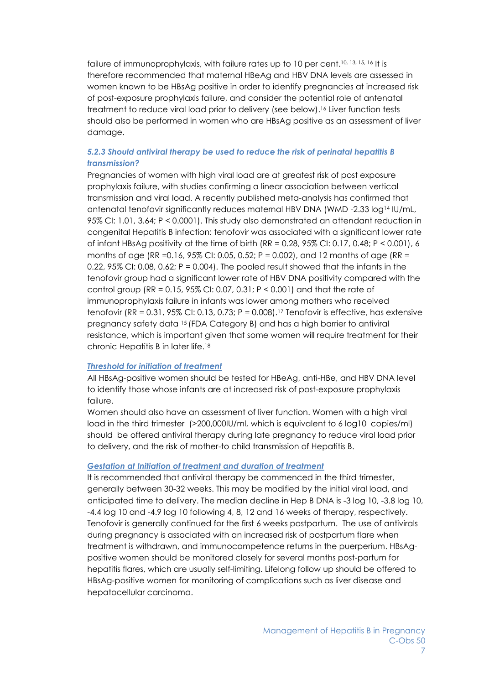failure of immunoprophylaxis, with failure rates up to 10 per cent.<sup>10, 13, 15, 16</sup> It is therefore recommended that maternal HBeAg and HBV DNA levels are assessed in women known to be HBsAg positive in order to identify pregnancies at increased risk of post-exposure prophylaxis failure, and consider the potential role of antenatal treatment to reduce viral load prior to delivery (see below). <sup>16</sup> Liver function tests should also be performed in women who are HBsAg positive as an assessment of liver damage.

# *5.2.3 Should antiviral therapy be used to reduce the risk of perinatal hepatitis B transmission?*

Pregnancies of women with high viral load are at greatest risk of post exposure prophylaxis failure, with studies confirming a linear association between vertical transmission and viral load. A recently published meta-analysis has confirmed that antenatal tenofovir significantly reduces maternal HBV DNA (WMD -2.33 log<sup>14</sup> IU/mL, 95% CI: 1.01, 3.64; P < 0.0001). This study also demonstrated an attendant reduction in congenital Hepatitis B infection: tenofovir was associated with a significant lower rate of infant HBsAg positivity at the time of birth  $(RR = 0.28, 95\%$  CI: 0.17, 0.48; P < 0.001), 6 months of age (RR = 0.16, 95% CI: 0.05, 0.52; P = 0.002), and 12 months of age (RR = 0.22,  $95\%$  CI: 0.08, 0.62; P = 0.004). The pooled result showed that the infants in the tenofovir group had a significant lower rate of HBV DNA positivity compared with the control group (RR =  $0.15$ , 95% CI; 0.07, 0.31; P < 0.001) and that the rate of immunoprophylaxis failure in infants was lower among mothers who received tenofovir (RR = 0.31, 95% CI: 0.13, 0.73;  $P = 0.008$ ).<sup>17</sup> Tenofovir is effective, has extensive pregnancy safety data 15 (FDA Category B) and has a high barrier to antiviral resistance, which is important given that some women will require treatment for their chronic Hepatitis B in later life.<sup>18</sup>

## *Threshold for initiation of treatment*

All HBsAg-positive women should be tested for HBeAg, anti-HBe, and HBV DNA level to identify those whose infants are at increased risk of post-exposure prophylaxis failure.

Women should also have an assessment of liver function. Women with a high viral load in the third trimester (>200,000IU/ml, which is equivalent to 6 log10 copies/ml) should be offered antiviral therapy during late pregnancy to reduce viral load prior to delivery, and the risk of mother-to child transmission of Hepatitis B.

## *Gestation at Initiation of treatment and duration of treatment*

It is recommended that antiviral therapy be commenced in the third trimester, generally between 30-32 weeks. This may be modified by the initial viral load, and anticipated time to delivery. The median decline in Hep B DNA is -3 log 10, -3.8 log 10, -4.4 log 10 and -4.9 log 10 following 4, 8, 12 and 16 weeks of therapy, respectively. Tenofovir is generally continued for the first 6 weeks postpartum. The use of antivirals during pregnancy is associated with an increased risk of postpartum flare when treatment is withdrawn, and immunocompetence returns in the puerperium. HBsAgpositive women should be monitored closely for several months post-partum for hepatitis flares, which are usually self-limiting. Lifelong follow up should be offered to HBsAg-positive women for monitoring of complications such as liver disease and hepatocellular carcinoma.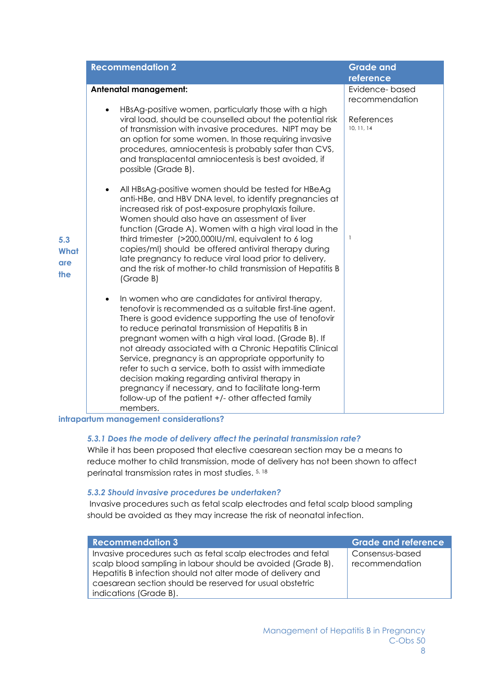| <b>Recommendation 2</b>                                                                                                                                                                                                                                                                                                                                                                                                                                                                                                                                                                                                                                                                                                                                                                                                                                                                                                                                                                                                                                                                                                                                                                                                                                                                                                                                                                                                                                                                                                                                                                                             | <b>Grade and</b><br>reference                              |
|---------------------------------------------------------------------------------------------------------------------------------------------------------------------------------------------------------------------------------------------------------------------------------------------------------------------------------------------------------------------------------------------------------------------------------------------------------------------------------------------------------------------------------------------------------------------------------------------------------------------------------------------------------------------------------------------------------------------------------------------------------------------------------------------------------------------------------------------------------------------------------------------------------------------------------------------------------------------------------------------------------------------------------------------------------------------------------------------------------------------------------------------------------------------------------------------------------------------------------------------------------------------------------------------------------------------------------------------------------------------------------------------------------------------------------------------------------------------------------------------------------------------------------------------------------------------------------------------------------------------|------------------------------------------------------------|
| Antenatal management:<br>HBsAg-positive women, particularly those with a high<br>viral load, should be counselled about the potential risk<br>of transmission with invasive procedures. NIPT may be<br>an option for some women. In those requiring invasive<br>procedures, amniocentesis is probably safer than CVS,<br>and transplacental amniocentesis is best avoided, if<br>possible (Grade B).<br>All HBsAg-positive women should be tested for HBeAg<br>anti-HBe, and HBV DNA level, to identify pregnancies at<br>increased risk of post-exposure prophylaxis failure.<br>Women should also have an assessment of liver<br>function (Grade A). Women with a high viral load in the<br>third trimester (>200,000IU/ml, equivalent to 6 log<br>5.3<br>copies/ml) should be offered antiviral therapy during<br>What<br>late pregnancy to reduce viral load prior to delivery,<br>are<br>and the risk of mother-to child transmission of Hepatitis B<br>the<br>(Grade B)<br>In women who are candidates for antiviral therapy,<br>tenofovir is recommended as a suitable first-line agent.<br>There is good evidence supporting the use of tenofovir<br>to reduce perinatal transmission of Hepatitis B in<br>pregnant women with a high viral load. (Grade B). If<br>not already associated with a Chronic Hepatitis Clinical<br>Service, pregnancy is an appropriate opportunity to<br>refer to such a service, both to assist with immediate<br>decision making regarding antiviral therapy in<br>pregnancy if necessary, and to facilitate long-term<br>follow-up of the patient +/- other affected family | Evidence-based<br>recommendation<br>References<br>10.11.14 |

#### **intrapartum management considerations?**

## *5.3.1 Does the mode of delivery affect the perinatal transmission rate?*

While it has been proposed that elective caesarean section may be a means to reduce mother to child transmission, mode of delivery has not been shown to affect perinatal transmission rates in most studies. 5, 18

## *5.3.2 Should invasive procedures be undertaken?*

Invasive procedures such as fetal scalp electrodes and fetal scalp blood sampling should be avoided as they may increase the risk of neonatal infection.

| <b>Recommendation 3</b>                                                                                                                                                                                                                                                          | <b>Grade and reference</b>        |
|----------------------------------------------------------------------------------------------------------------------------------------------------------------------------------------------------------------------------------------------------------------------------------|-----------------------------------|
| Invasive procedures such as fetal scalp electrodes and fetal<br>scalp blood sampling in labour should be avoided (Grade B).<br>Hepatitis B infection should not alter mode of delivery and<br>caesarean section should be reserved for usual obstetric<br>indications (Grade B). | Consensus-based<br>recommendation |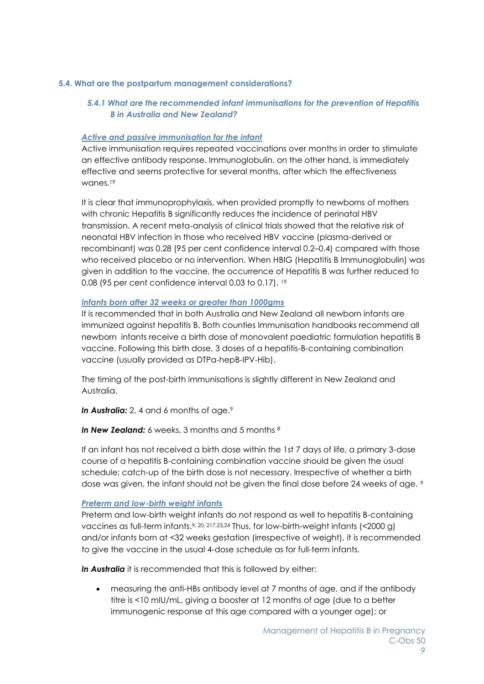### **5.4. What are the postpartum management considerations?**

# *5.4.1 What are the recommended infant immunisations for the prevention of Hepatitis B in Australia and New Zealand?*

## *Active and passive immunisation for the infant*

Active immunisation requires repeated vaccinations over months in order to stimulate an effective antibody response. Immunoglobulin, on the other hand, is immediately effective and seems protective for several months, after which the effectiveness wanes. 19

It is clear that immunoprophylaxis, when provided promptly to newborns of mothers with chronic Hepatitis B significantly reduces the incidence of perinatal HBV transmission. A recent meta-analysis of clinical trials showed that the relative risk of neonatal HBV infection in those who received HBV vaccine (plasma-derived or recombinant) was 0.28 (95 per cent confidence interval 0.2–0.4) compared with those who received placebo or no intervention. When HBIG (Hepatitis B Immunoglobulin) was given in addition to the vaccine, the occurrence of Hepatitis B was further reduced to 0.08 (95 per cent confidence interval 0.03 to 0.17). 19

### *Infants born after 32 weeks or greater than 1000gms*

It is recommended that in both Australia and New Zealand all newborn infants are immunized against hepatitis B. Both counties Immunisation handbooks recommend all newborn infants receive a birth dose of monovalent paediatric formulation hepatitis B vaccine. Following this birth dose, 3 doses of a hepatitis-B-containing combination vaccine (usually provided as DTPa-hepB-IPV-Hib).

The timing of the post-birth immunisations is slightly different in New Zealand and Australia.

*In Australia: 2, 4 and 6 months of age.*9

**In New Zealand:** 6 weeks, 3 months and 5 months <sup>8</sup>

If an infant has not received a birth dose within the 1st 7 days of life, a primary 3-dose course of a hepatitis B-containing combination vaccine should be given the usual schedule; catch-up of the birth dose is not necessary. Irrespective of whether a birth dose was given, the infant should not be given the final dose before 24 weeks of age. 9

#### *Preterm and low-birth weight infants*

Preterm and low-birth weight infants do not respond as well to hepatitis B-containing vaccines as full-term infants.9, 20, 217,23,24 Thus, for low-birth-weight infants (<2000 g) and/or infants born at <32 weeks gestation (irrespective of weight), it is recommended to give the vaccine in the usual 4-dose schedule as for full-term infants.

*In Australia* it is recommended that this is followed by either:

• measuring the anti-HBs antibody level at 7 months of age, and if the antibody titre is <10 mIU/mL, giving a booster at 12 months of age (due to a better immunogenic response at this age compared with a younger age); or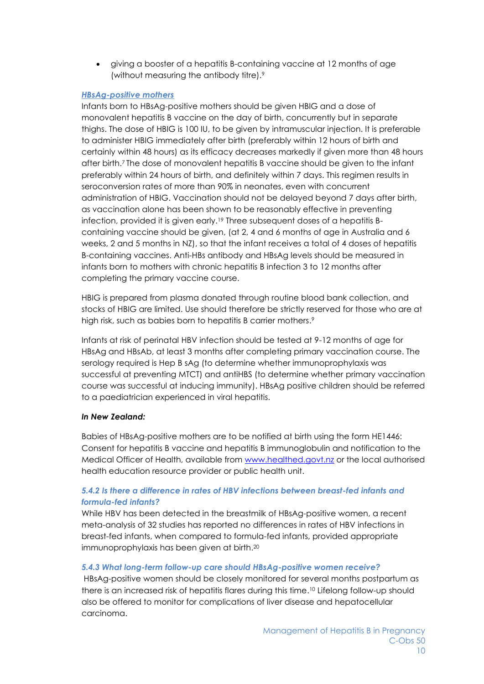• giving a booster of a hepatitis B-containing vaccine at 12 months of age (without measuring the antibody titre).<sup>9</sup>

# *HBsAg-positive mothers*

Infants born to HBsAg-positive mothers should be given HBIG and a dose of monovalent hepatitis B vaccine on the day of birth, concurrently but in separate thighs. The dose of HBIG is 100 IU, to be given by intramuscular injection. It is preferable to administer HBIG immediately after birth (preferably within 12 hours of birth and certainly within 48 hours) as its efficacy decreases markedly if given more than 48 hours after birth.<sup>7</sup> The dose of monovalent hepatitis B vaccine should be given to the infant preferably within 24 hours of birth, and definitely within 7 days. This regimen results in seroconversion rates of more than 90% in neonates, even with concurrent administration of HBIG. Vaccination should not be delayed beyond 7 days after birth, as vaccination alone has been shown to be reasonably effective in preventing infection, provided it is given early.<sup>19</sup> Three subsequent doses of a hepatitis Bcontaining vaccine should be given, (at 2, 4 and 6 months of age in Australia and 6 weeks, 2 and 5 months in NZ), so that the infant receives a total of 4 doses of hepatitis B-containing vaccines. Anti-HBs antibody and HBsAg levels should be measured in infants born to mothers with chronic hepatitis B infection 3 to 12 months after completing the primary vaccine course.

HBIG is prepared from plasma donated through routine blood bank collection, and stocks of HBIG are limited. Use should therefore be strictly reserved for those who are at high risk, such as babies born to hepatitis B carrier mothers. 9

Infants at risk of perinatal HBV infection should be tested at 9-12 months of age for HBsAg and HBsAb, at least 3 months after completing primary vaccination course. The serology required is Hep B sAg (to determine whether immunoprophylaxis was successful at preventing MTCT) and antiHBS (to determine whether primary vaccination course was successful at inducing immunity). HBsAg positive children should be referred to a paediatrician experienced in viral hepatitis.

## *In New Zealand:*

Babies of HBsAg-positive mothers are to be notified at birth using the form HE1446: Consent for hepatitis B vaccine and hepatitis B immunoglobulin and notification to the Medical Officer of Health, available from [www.healthed.govt.nz](www.healthed.govt.nz%20) or the local authorised health education resource provider or public health unit.

# *5.4.2 Is there a difference in rates of HBV infections between breast-fed infants and formula-fed infants?*

While HBV has been detected in the breastmilk of HBsAg-positive women, a recent meta-analysis of 32 studies has reported no differences in rates of HBV infections in breast-fed infants, when compared to formula-fed infants, provided appropriate immunoprophylaxis has been given at birth. 20

## *5.4.3 What long-term follow-up care should HBsAg-positive women receive?*

HBsAg-positive women should be closely monitored for several months postpartum as there is an increased risk of hepatitis flares during this time. <sup>10</sup> Lifelong follow-up should also be offered to monitor for complications of liver disease and hepatocellular carcinoma.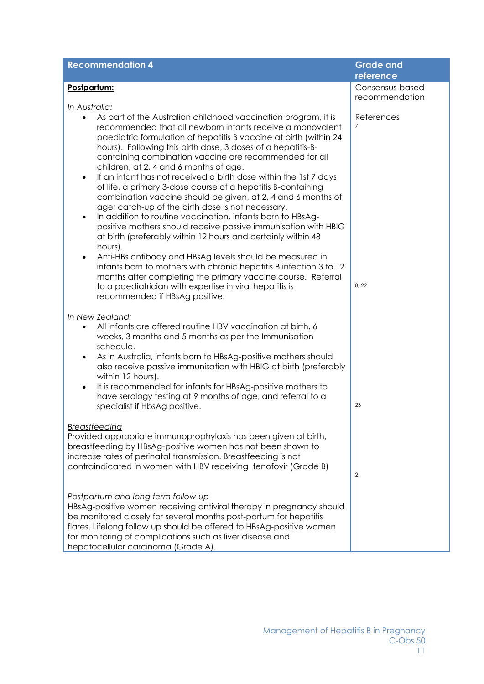| <b>Recommendation 4</b>                                                                                                                                                                                                                                                                                                                                                                                                                                                                                                                                                                                                                                                                                                                                                                                                                                                                                                                                                                                                                                                                                                                               | <b>Grade and</b><br>reference         |
|-------------------------------------------------------------------------------------------------------------------------------------------------------------------------------------------------------------------------------------------------------------------------------------------------------------------------------------------------------------------------------------------------------------------------------------------------------------------------------------------------------------------------------------------------------------------------------------------------------------------------------------------------------------------------------------------------------------------------------------------------------------------------------------------------------------------------------------------------------------------------------------------------------------------------------------------------------------------------------------------------------------------------------------------------------------------------------------------------------------------------------------------------------|---------------------------------------|
| Postpartum:                                                                                                                                                                                                                                                                                                                                                                                                                                                                                                                                                                                                                                                                                                                                                                                                                                                                                                                                                                                                                                                                                                                                           | Consensus-based                       |
|                                                                                                                                                                                                                                                                                                                                                                                                                                                                                                                                                                                                                                                                                                                                                                                                                                                                                                                                                                                                                                                                                                                                                       | recommendation                        |
| In Australia:<br>As part of the Australian childhood vaccination program, it is<br>recommended that all newborn infants receive a monovalent<br>paediatric formulation of hepatitis B vaccine at birth (within 24<br>hours). Following this birth dose, 3 doses of a hepatitis-B-<br>containing combination vaccine are recommended for all<br>children, at 2, 4 and 6 months of age.<br>If an infant has not received a birth dose within the 1st 7 days<br>٠<br>of life, a primary 3-dose course of a hepatitis B-containing<br>combination vaccine should be given, at 2, 4 and 6 months of<br>age; catch-up of the birth dose is not necessary.<br>In addition to routine vaccination, infants born to HBsAg-<br>$\bullet$<br>positive mothers should receive passive immunisation with HBIG<br>at birth (preferably within 12 hours and certainly within 48<br>hours).<br>Anti-HBs antibody and HBsAg levels should be measured in<br>$\bullet$<br>infants born to mothers with chronic hepatitis B infection 3 to 12<br>months after completing the primary vaccine course. Referral<br>to a paediatrician with expertise in viral hepatitis is | References<br>$\overline{7}$<br>8, 22 |
| recommended if HBsAg positive.<br>In New Zealand:<br>All infants are offered routine HBV vaccination at birth, 6<br>$\bullet$<br>weeks, 3 months and 5 months as per the Immunisation<br>schedule.<br>As in Australia, infants born to HBsAg-positive mothers should<br>٠<br>also receive passive immunisation with HBIG at birth (preferably<br>within 12 hours).<br>It is recommended for infants for HBsAg-positive mothers to<br>have serology testing at 9 months of age, and referral to a<br>specialist if HbsAg positive.                                                                                                                                                                                                                                                                                                                                                                                                                                                                                                                                                                                                                     | 23                                    |
| Breastfeeding<br>Provided appropriate immunoprophylaxis has been given at birth,<br>breastfeeding by HBsAg-positive women has not been shown to<br>increase rates of perinatal transmission. Breastfeeding is not<br>contraindicated in women with HBV receiving tenofovir (Grade B)                                                                                                                                                                                                                                                                                                                                                                                                                                                                                                                                                                                                                                                                                                                                                                                                                                                                  | $\overline{2}$                        |
| Postpartum and long term follow up<br>HBsAg-positive women receiving antiviral therapy in pregnancy should<br>be monitored closely for several months post-partum for hepatitis<br>flares. Lifelong follow up should be offered to HBsAg-positive women<br>for monitoring of complications such as liver disease and<br>hepatocellular carcinoma (Grade A).                                                                                                                                                                                                                                                                                                                                                                                                                                                                                                                                                                                                                                                                                                                                                                                           |                                       |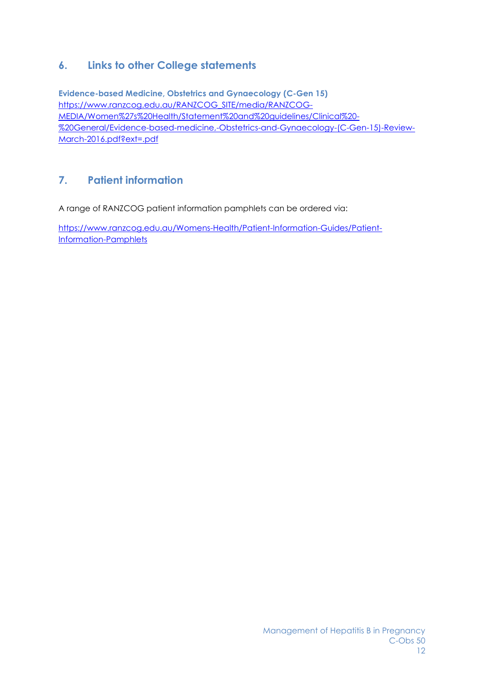# **6. Links to other College statements**

**Evidence-based Medicine, Obstetrics and Gynaecology (C-Gen 15)** [https://www.ranzcog.edu.au/RANZCOG\\_SITE/media/RANZCOG-](https://www.ranzcog.edu.au/RANZCOG_SITE/media/RANZCOG-MEDIA/Women%27s%20Health/Statement%20and%20guidelines/Clinical%20-%20General/Evidence-based-medicine,-Obstetrics-and-Gynaecology-(C-Gen-15)-Review-March-2016.pdf?ext=.pdf)[MEDIA/Women%27s%20Health/Statement%20and%20guidelines/Clinical%20-](https://www.ranzcog.edu.au/RANZCOG_SITE/media/RANZCOG-MEDIA/Women%27s%20Health/Statement%20and%20guidelines/Clinical%20-%20General/Evidence-based-medicine,-Obstetrics-and-Gynaecology-(C-Gen-15)-Review-March-2016.pdf?ext=.pdf) [%20General/Evidence-based-medicine,-Obstetrics-and-Gynaecology-\(C-Gen-15\)-Review-](https://www.ranzcog.edu.au/RANZCOG_SITE/media/RANZCOG-MEDIA/Women%27s%20Health/Statement%20and%20guidelines/Clinical%20-%20General/Evidence-based-medicine,-Obstetrics-and-Gynaecology-(C-Gen-15)-Review-March-2016.pdf?ext=.pdf)[March-2016.pdf?ext=.pdf](https://www.ranzcog.edu.au/RANZCOG_SITE/media/RANZCOG-MEDIA/Women%27s%20Health/Statement%20and%20guidelines/Clinical%20-%20General/Evidence-based-medicine,-Obstetrics-and-Gynaecology-(C-Gen-15)-Review-March-2016.pdf?ext=.pdf)

# **7. Patient information**

A range of RANZCOG patient information pamphlets can be ordered via:

[https://www.ranzcog.edu.au/Womens-Health/Patient-Information-Guides/Patient-](https://www.ranzcog.edu.au/Womens-Health/Patient-Information-Guides/Patient-Information-Pamphlets)[Information-Pamphlets](https://www.ranzcog.edu.au/Womens-Health/Patient-Information-Guides/Patient-Information-Pamphlets)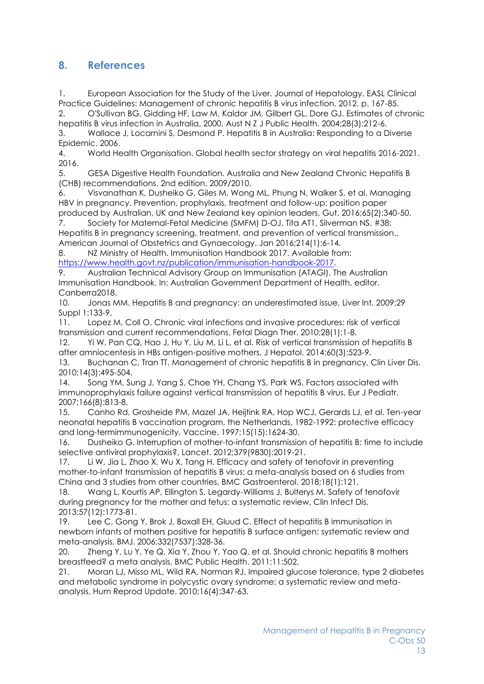# **8. References**

1. European Association for the Study of the Liver. Journal of Hepatology. EASL Clinical Practice Guidelines: Management of chronic hepatitis B virus infection. 2012. p. 167-85.

2. O'Sullivan BG, Gidding HF, Law M, Kaldor JM, Gilbert GL, Dore GJ. Estimates of chronic hepatitis B virus infection in Australia, 2000, Aust N Z J Public Health. 2004;28(3):212-6.

3. Wallace J, Locarnini S, Desmond P. Hepatitis B in Australia: Responding to a Diverse Epidemic. 2006.

4. World Health Organisation. Global health sector strategy on viral hepatitis 2016-2021. 2016.

5. GESA Digestive Health Foundation. Australia and New Zealand Chronic Hepatitis B (CHB) recommendations. 2nd edition. 2009/2010.

6. Visvanathan K, Dusheiko G, Giles M, Wong ML, Phung N, Walker S, et al. Managing HBV in pregnancy. Prevention, prophylaxis, treatment and follow-up: position paper produced by Australian, UK and New Zealand key opinion leaders, Gut. 2016;65(2):340-50.

7. Society for Maternal-Fetal Medicine (SMFM) D-OJ, Tita AT1, Silverman NS. #38: Hepatitis B in pregnancy screening, treatment, and prevention of vertical transmission., American Journal of Obstetrics and Gynaecology. Jan 2016;214(1):6-14.

8. NZ Ministry of Health. Immunisation Handbook 2017. Available from: [https://www.health.govt.nz/publication/immunisation-handbook-2017.](https://www.health.govt.nz/publication/immunisation-handbook-2017)

9. Australian Technical Advisory Group on Immunisation (ATAGI). The Australian Immunisation Handbook. In: Australian Government Department of Health, editor. Canberra2018.

10. Jonas MM. Hepatitis B and pregnancy: an underestimated issue, Liver Int. 2009;29 Suppl 1:133-9.

11. Lopez M, Coll O. Chronic viral infections and invasive procedures: risk of vertical transmission and current recommendations, Fetal Diagn Ther. 2010;28(1):1-8.

12. Yi W, Pan CQ, Hao J, Hu Y, Liu M, Li L, et al. Risk of vertical transmission of hepatitis B after amniocentesis in HBs antigen-positive mothers, J Hepatol. 2014;60(3):523-9.

13. Buchanan C, Tran IT. Management of chronic hepatitis B in pregnancy, Clin Liver Dis. 2010;14(3):495-504.

14. Song YM, Sung J, Yang S, Choe YH, Chang YS, Park WS. Factors associated with immunoprophylaxis failure against vertical transmission of hepatitis B virus, Eur J Pediatr. 2007;166(8):813-8.

15. Canho Rd, Grosheide PM, Mazel JA, Heijtink RA, Hop WCJ, Gerards LJ, et al. Ten-year neonatal hepatitis B vaccination program, the Netherlands, 1982-1992: protective efficacy and long-termimmunogenicity, Vaccine. 1997;15(15):1624-30.

16. Dusheiko G. Interruption of mother-to-infant transmission of hepatitis B: time to include selective antiviral prophylaxis?, Lancet. 2012;379(9830):2019-21.

17. Li W, Jia L, Zhao X, Wu X, Tang H. Efficacy and safety of tenofovir in preventing mother-to-infant transmission of hepatitis B virus: a meta-analysis based on 6 studies from China and 3 studies from other countries, BMC Gastroenterol. 2018;18(1):121.

18. Wang L, Kourtis AP, Ellington S, Legardy-Williams J, Bulterys M. Safety of tenofovir during pregnancy for the mother and fetus: a systematic review, Clin Infect Dis. 2013;57(12):1773-81.

19. Lee C, Gong Y, Brok J, Boxall EH, Gluud C. Effect of hepatitis B immunisation in newborn infants of mothers positive for hepatitis B surface antigen: systematic review and meta-analysis, BMJ. 2006;332(7537):328-36.

20. Zheng Y, Lu Y, Ye Q, Xia Y, Zhou Y, Yao Q, et al. Should chronic hepatitis B mothers breastfeed? a meta analysis, BMC Public Health. 2011;11:502.

21. Moran LJ, Misso ML, Wild RA, Norman RJ. Impaired glucose tolerance, type 2 diabetes and metabolic syndrome in polycystic ovary syndrome: a systematic review and metaanalysis, Hum Reprod Update. 2010;16(4):347-63.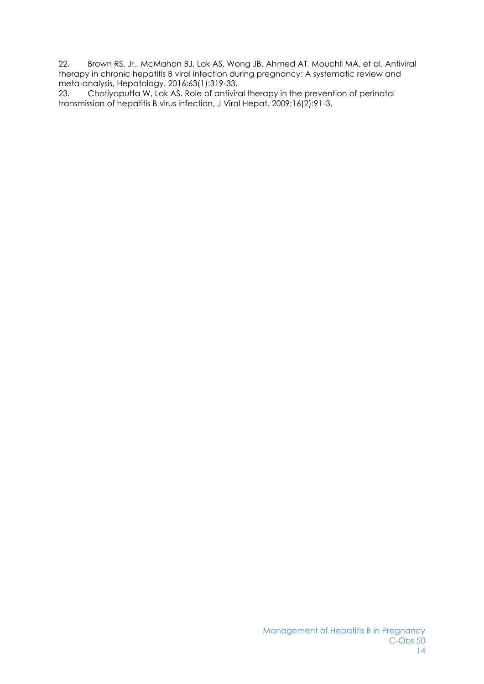22. Brown RS, Jr., McMahon BJ, Lok AS, Wong JB, Ahmed AT, Mouchli MA, et al. Antiviral therapy in chronic hepatitis B viral infection during pregnancy: A systematic review and meta-analysis, Hepatology. 2016;63(1):319-33.

23. Chotiyaputta W, Lok AS. Role of antiviral therapy in the prevention of perinatal transmission of hepatitis B virus infection, J Viral Hepat. 2009;16(2):91-3.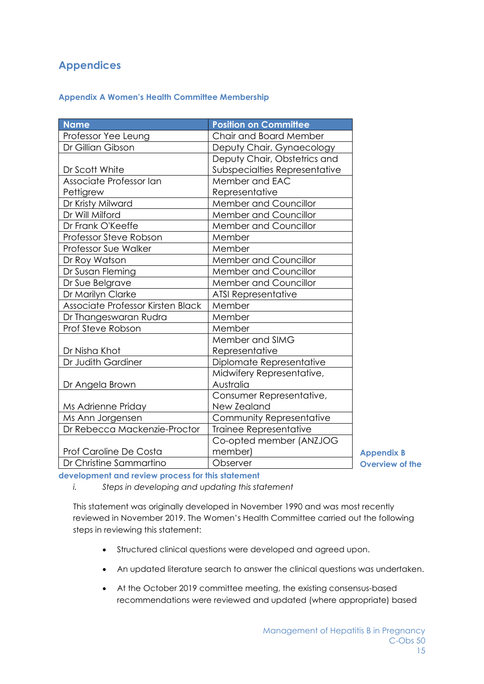# **Appendices**

## **Appendix A Women's Health Committee Membership**

| <b>Name</b>                       | <b>Position on Committee</b>  |
|-----------------------------------|-------------------------------|
| Professor Yee Leung               | Chair and Board Member        |
| Dr Gillian Gibson                 | Deputy Chair, Gynaecology     |
|                                   | Deputy Chair, Obstetrics and  |
| Dr Scott White                    | Subspecialties Representative |
| Associate Professor Ian           | Member and EAC                |
| Pettigrew                         | Representative                |
| Dr Kristy Milward                 | Member and Councillor         |
| Dr Will Milford                   | <b>Member and Councillor</b>  |
| Dr Frank O'Keeffe                 | Member and Councillor         |
| Professor Steve Robson            | Member                        |
| Professor Sue Walker              | Member                        |
| Dr Roy Watson                     | Member and Councillor         |
| Dr Susan Fleming                  | <b>Member and Councillor</b>  |
| Dr Sue Belgrave                   | <b>Member and Councillor</b>  |
| Dr Marilyn Clarke                 | <b>ATSI Representative</b>    |
| Associate Professor Kirsten Black | Member                        |
| Dr Thangeswaran Rudra             | Member                        |
| Prof Steve Robson                 | Member                        |
|                                   | Member and SIMG               |
| Dr Nisha Khot                     | Representative                |
| Dr Judith Gardiner                | Diplomate Representative      |
|                                   | Midwifery Representative,     |
| Dr Angela Brown                   | Australia                     |
|                                   | Consumer Representative,      |
| Ms Adrienne Priday                | New Zealand                   |
| Ms Ann Jorgensen                  | Community Representative      |
| Dr Rebecca Mackenzie-Proctor      | Trainee Representative        |
|                                   | Co-opted member (ANZJOG       |
| Prof Caroline De Costa            | member)                       |
| Dr Christine Sammartino           | Observer                      |

**Appendix B Overview of the** 

**development and review process for this statement** 

*i. Steps in developing and updating this statement*

This statement was originally developed in November 1990 and was most recently reviewed in November 2019. The Women's Health Committee carried out the following steps in reviewing this statement:

- Structured clinical questions were developed and agreed upon.
- An updated literature search to answer the clinical questions was undertaken.
- At the October 2019 committee meeting, the existing consensus-based recommendations were reviewed and updated (where appropriate) based